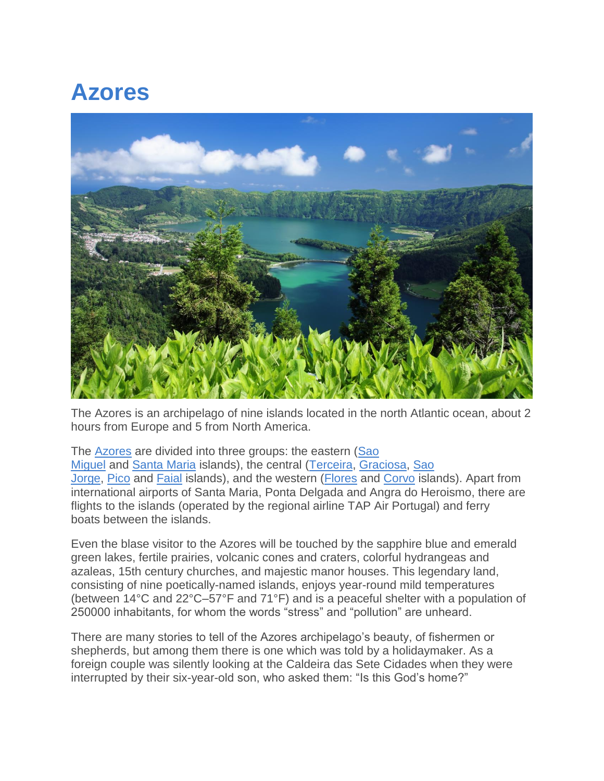# **Azores**



The Azores is an archipelago of nine islands located in the north Atlantic ocean, about 2 hours from Europe and 5 from North America.

The Azores are divided into three groups: the eastern [\(Sao](https://portugal.com/portugal/places/azores#Sao%20Miguel)  [Miguel](https://portugal.com/portugal/places/azores#Sao%20Miguel) and Santa Maria islands), the central (Terceira, Graciosa, Sao Jorge, Pico and Faial islands), and the western (Flores and Corvo islands). Apart from international airports of Santa Maria, Ponta Delgada and Angra do Heroismo, there are flights to the islands (operated by the regional airline TAP Air Portugal) and ferry boats between the islands.

Even the blase visitor to the Azores will be touched by the sapphire blue and emerald green lakes, fertile prairies, volcanic cones and craters, colorful hydrangeas and azaleas, 15th century churches, and majestic manor houses. This legendary land, consisting of nine poetically-named islands, enjoys year-round mild temperatures (between 14°C and 22°C–57°F and 71°F) and is a peaceful shelter with a population of 250000 inhabitants, for whom the words "stress" and "pollution" are unheard.

There are many stories to tell of the Azores archipelago's beauty, of fishermen or shepherds, but among them there is one which was told by a holidaymaker. As a foreign couple was silently looking at the Caldeira das Sete Cidades when they were interrupted by their six-year-old son, who asked them: "Is this God's home?"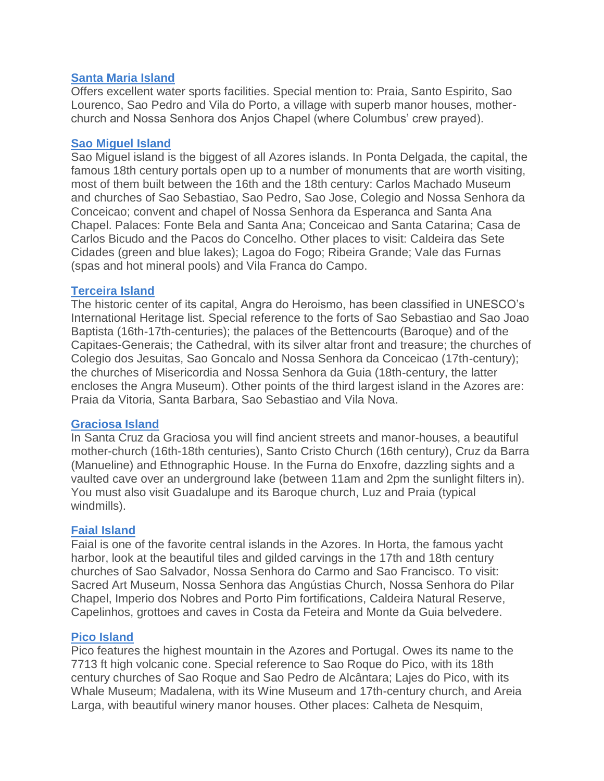### **Santa Maria Island**

Offers excellent water sports facilities. Special mention to: Praia, Santo Espirito, Sao Lourenco, Sao Pedro and Vila do Porto, a village with superb manor houses, motherchurch and Nossa Senhora dos Anjos Chapel (where Columbus' crew prayed).

#### **Sao Miguel Island**

Sao Miguel island is the biggest of all Azores islands. In Ponta Delgada, the capital, the famous 18th century portals open up to a number of monuments that are worth visiting, most of them built between the 16th and the 18th century: Carlos Machado Museum and churches of Sao Sebastiao, Sao Pedro, Sao Jose, Colegio and Nossa Senhora da Conceicao; convent and chapel of Nossa Senhora da Esperanca and Santa Ana Chapel. Palaces: Fonte Bela and Santa Ana; Conceicao and Santa Catarina; Casa de Carlos Bicudo and the Pacos do Concelho. Other places to visit: Caldeira das Sete Cidades (green and blue lakes); Lagoa do Fogo; Ribeira Grande; Vale das Furnas (spas and hot mineral pools) and Vila Franca do Campo.

#### **Terceira Island**

The historic center of its capital, Angra do Heroismo, has been classified in UNESCO's International Heritage list. Special reference to the forts of Sao Sebastiao and Sao Joao Baptista (16th-17th-centuries); the palaces of the Bettencourts (Baroque) and of the Capitaes-Generais; the Cathedral, with its silver altar front and treasure; the churches of Colegio dos Jesuitas, Sao Goncalo and Nossa Senhora da Conceicao (17th-century); the churches of Misericordia and Nossa Senhora da Guia (18th-century, the latter encloses the Angra Museum). Other points of the third largest island in the Azores are: Praia da Vitoria, Santa Barbara, Sao Sebastiao and Vila Nova.

#### **Graciosa Island**

In Santa Cruz da Graciosa you will find ancient streets and manor-houses, a beautiful mother-church (16th-18th centuries), Santo Cristo Church (16th century), Cruz da Barra (Manueline) and Ethnographic House. In the Furna do Enxofre, dazzling sights and a vaulted cave over an underground lake (between 11am and 2pm the sunlight filters in). You must also visit Guadalupe and its Baroque church, Luz and Praia (typical windmills).

#### **Faial Island**

Faial is one of the favorite central islands in the Azores. In Horta, the famous yacht harbor, look at the beautiful tiles and gilded carvings in the 17th and 18th century churches of Sao Salvador, Nossa Senhora do Carmo and Sao Francisco. To visit: Sacred Art Museum, Nossa Senhora das Angústias Church, Nossa Senhora do Pilar Chapel, Imperio dos Nobres and Porto Pim fortifications, Caldeira Natural Reserve, Capelinhos, grottoes and caves in Costa da Feteira and Monte da Guia belvedere.

## **Pico Island**

Pico features the highest mountain in the Azores and Portugal. Owes its name to the 7713 ft high volcanic cone. Special reference to Sao Roque do Pico, with its 18th century churches of Sao Roque and Sao Pedro de Alcântara; Lajes do Pico, with its Whale Museum; Madalena, with its Wine Museum and 17th-century church, and Areia Larga, with beautiful winery manor houses. Other places: Calheta de Nesquim,